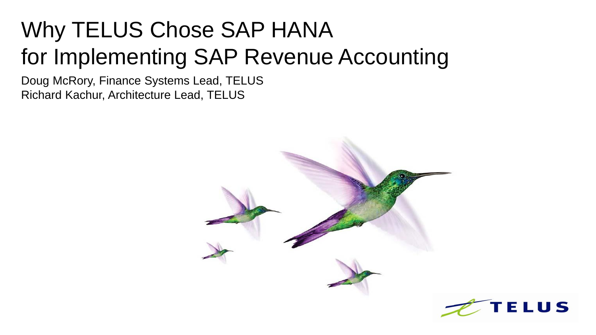## Why TELUS Chose SAP HANA for Implementing SAP Revenue Accounting

Doug McRory, Finance Systems Lead, TELUS Richard Kachur, Architecture Lead, TELUS



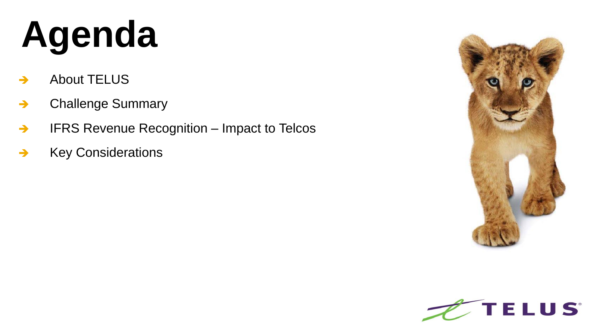# **Agenda**

- $\rightarrow$  About TELUS
- → Challenge Summary
- → IFRS Revenue Recognition Impact to Telcos
- $\rightarrow$  Key Considerations



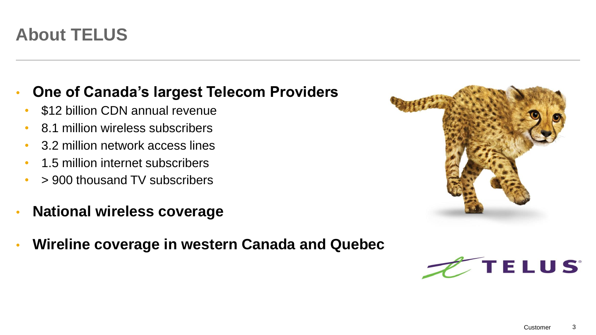## • **One of Canada's largest Telecom Providers**

- \$12 billion CDN annual revenue
- 8.1 million wireless subscribers
- 3.2 million network access lines
- 1.5 million internet subscribers
- > 900 thousand TV subscribers
- **National wireless coverage**
- **Wireline coverage in western Canada and Quebec**



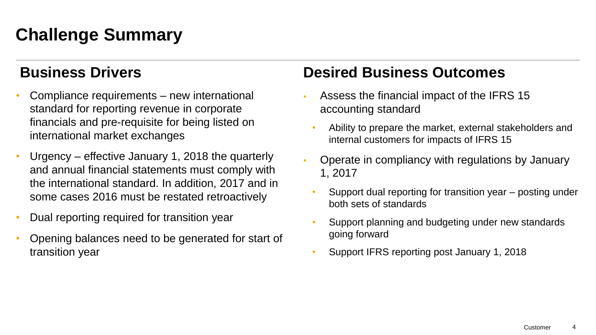## **Challenge Summary**

### **Business Drivers**

- Compliance requirements new international standard for reporting revenue in corporate financials and pre-requisite for being listed on international market exchanges
- Urgency effective January 1, 2018 the quarterly and annual financial statements must comply with the international standard. In addition, 2017 and in some cases 2016 must be restated retroactively
- Dual reporting required for transition year
- Opening balances need to be generated for start of transition year

## **Desired Business Outcomes**

- Assess the financial impact of the IFRS 15 accounting standard
	- Ability to prepare the market, external stakeholders and internal customers for impacts of IFRS 15
- Operate in compliancy with regulations by January 1, 2017
- Support dual reporting for transition year posting under both sets of standards
- Support planning and budgeting under new standards going forward
- Support IFRS reporting post January 1, 2018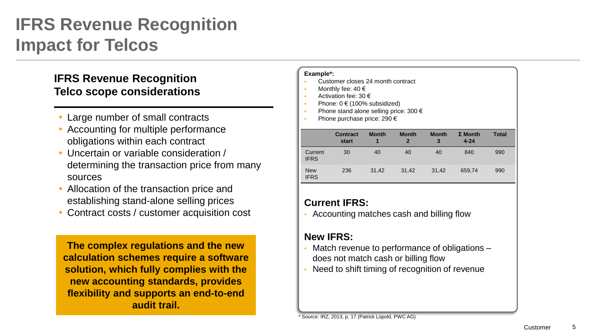## **IFRS Revenue Recognition Impact for Telcos**

#### **IFRS Revenue Recognition Telco scope considerations**

- Large number of small contracts
- Accounting for multiple performance obligations within each contract
- Uncertain or variable consideration / determining the transaction price from many sources
- Allocation of the transaction price and establishing stand-alone selling prices
- Contract costs / customer acquisition cost

**The complex regulations and the new calculation schemes require a software solution, which fully complies with the new accounting standards, provides flexibility and supports an end-to-end audit trail.**

#### **Example\*:**

- Customer closes 24 month contract
- Monthly fee: 40 €
- Activation fee: 30 €
- Phone: 0 € (100% subsidized)
- Phone stand alone selling price: 300 €
- Phone purchase price: 290 €

|                           | <b>Contract</b><br>start | <b>Month</b><br>1 | <b>Month</b><br>$\mathbf{2}$ | <b>Month</b><br>3 | $\Sigma$ Month<br>$4 - 24$ | <b>Total</b> |
|---------------------------|--------------------------|-------------------|------------------------------|-------------------|----------------------------|--------------|
| Current<br><b>IFRS</b>    | 30                       | 40                | 40                           | 40                | 840                        | 990          |
| <b>New</b><br><b>IFRS</b> | 236                      | 31.42             | 31.42                        | 31,42             | 659.74                     | 990          |

#### **Current IFRS:**

• Accounting matches cash and billing flow

#### **New IFRS:**

- Match revenue to performance of obligations does not match cash or billing flow
- Need to shift timing of recognition of revenue

\* Source: IRZ, 2013, p. 17 (Patrick Lüpold, PWC AG)